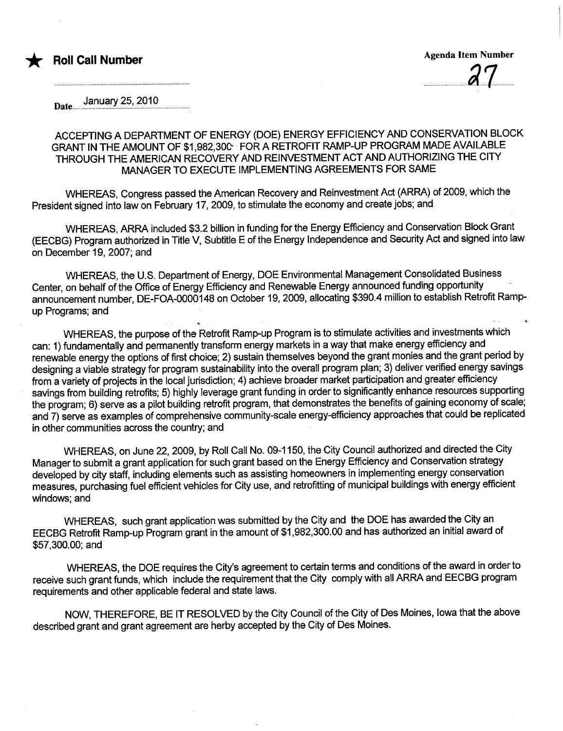

..;.

January 25, 2010

## ACCEPTING A DEPARTMENT OF ENERGY (DOE) ENERGY EFFICIENCY AND CONSERVATION BLOCK GRANT IN THE AMOUNT OF \$1,982,300' FOR A RETROFIT RAMP-UP PROGRAM MADE AVAILABLE THROUGH THE AMERICAN RECOVERY AND REINVESTMENT ACT AND AUTHORIZING THE CITY MANAGER TO EXECUTE IMPLEMENTING AGREEMENTS FOR SAME

WHEREAS, Congress passed the American Recovery and Reinvestment Act (ARRA) of 2009, which the President signed into law on February 17, 2009, to stimulate the economy and create jobs; and

WHEREAS, ARRA included \$3.2 billion in funding for the Energy Efficiency and Conservation Block Grant (EECBG) Program authorized in Title V, Subtitle E of the Energy Independence and Security Act and signed into law on December 19, 2007; and

WHEREAS, the U.S. Department of Energy, DOE Environmental Management Consolidated Business Center, on behalf of the Office of Energy Efficiency and Renewable Energy announced funding opportunity announcement number, DE-FOA-0000148 on October 19, 2009, allocating \$390.4 million to establish Retrofit Rampup Programs; and

WHEREAS, the purpose of the Retrofit Ramp-up Program is to stimulate activities and investments which can: 1) fundamentally and permanently transform energy markets in a way that make energy efficiency and renewable energy the options of first choice; 2) sustain themselves beyond the grant monies and the grant period by designing a viable strategy for program sustainability into the overall program plan; 3) deliver verified energy savings from a variety of projects in the local jurisdiction; 4) achieve broader market participation and greater efficiency savings from building retrofits; 5) highly leverage grant funding in order to significantly enhance resources supporting the program; 6) serve as a pilot building retrofit program, that demonstrates the benefits of gaining economy of scale; and 7) serve as examples of comprehensive community-scale energy-effciency approaches that could be replicated in other communities across the country; and

WHEREAS, on June 22, 2009, by Roll Call No. 09-1150, the City Council authorized and directed the City Manager to submit a grant application for such grant based on the Energy Effciency and Conservation strategy developed by city staff, including elements such as assisting homeowners in implementing energy conservation measures, purchasing fuel efficient vehicles for City use, and retrofitting of municipal buildings with energy efficient windows; and

WHEREAS, such grant application was submitted by the City and the DOE has awarded the City an EECBG Retrofit Ramp-up Program grant in the amount of \$1,982,300.00 and has authorized an initial award of \$57,300.00; and

WHEREAS, the DOE requires the City's agreement to certain terms and conditions of the award in order to receive such grant funds, which include the requirement that the City comply with all ARRA and EECBG program requirements and other applicable federal and state laws.

NOW, THEREFORE, BE IT RESOLVED by the City Council of the City of Des Moines, Iowa that the above described grant and grant agreement are herby accepted by the City of Des Moines.